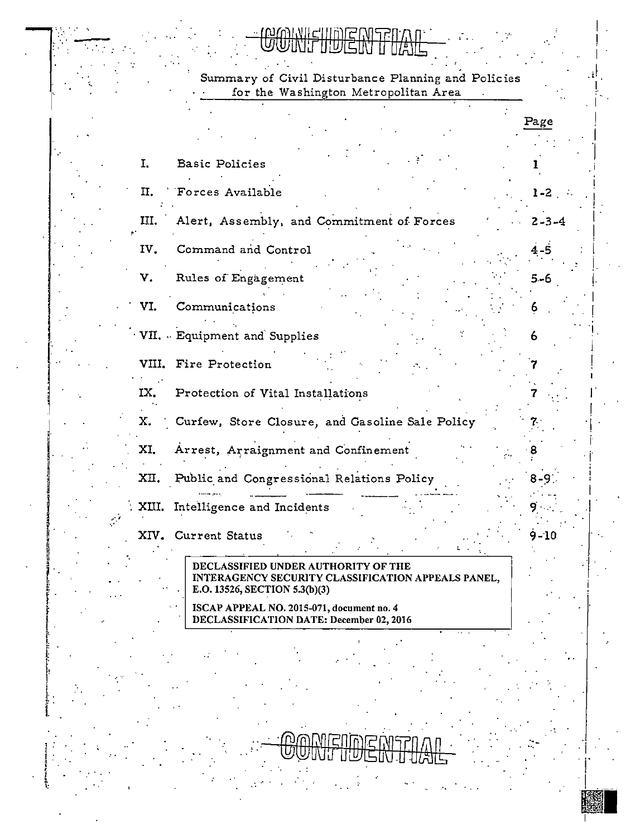**WINIEUIDEC** M

Summary of Civil Disturbance Planning and Policies for the Washington Metropolitan Area

|       |                                                                                                                                                                                                                     | Page     |
|-------|---------------------------------------------------------------------------------------------------------------------------------------------------------------------------------------------------------------------|----------|
| I.    | <b>Basic Policies</b>                                                                                                                                                                                               |          |
| П.    | Forces Available                                                                                                                                                                                                    | $1 - 2$  |
| Ш.    | Alert, Assembly, and Commitment of Forces                                                                                                                                                                           | 2-3-4    |
| IV.   | Command and Control                                                                                                                                                                                                 | 4-5      |
| v.    | Rules of Engagement                                                                                                                                                                                                 | $5 - 6$  |
| VI.   | Communications                                                                                                                                                                                                      |          |
|       | VII. - Equipment and Supplies                                                                                                                                                                                       | 6        |
| VIII. | Fire Protection                                                                                                                                                                                                     |          |
| IX.   | Protection of Vital Installations                                                                                                                                                                                   |          |
| Х.    | Curfew, Store Closure, and Gasoline Sale Policy                                                                                                                                                                     |          |
| XI.   | Arrest, Arraignment and Confinement                                                                                                                                                                                 |          |
| XII.  | Public and Congressional Relations Policy                                                                                                                                                                           |          |
| XIII. | Intelligence and Incidents                                                                                                                                                                                          |          |
|       | XIV. Current Status                                                                                                                                                                                                 | $9 - 10$ |
|       | DECLASSIFIED UNDER AUTHORITY OF THE<br>INTERAGENCY SECURITY CLASSIFICATION APPEALS PANEL,<br>E.O. 13526, SECTION 5.3(b)(3)<br>ISCAP APPEAL NO. 2015-071, document no. 4<br>DECLASSIFICATION DATE: December 02, 2016 |          |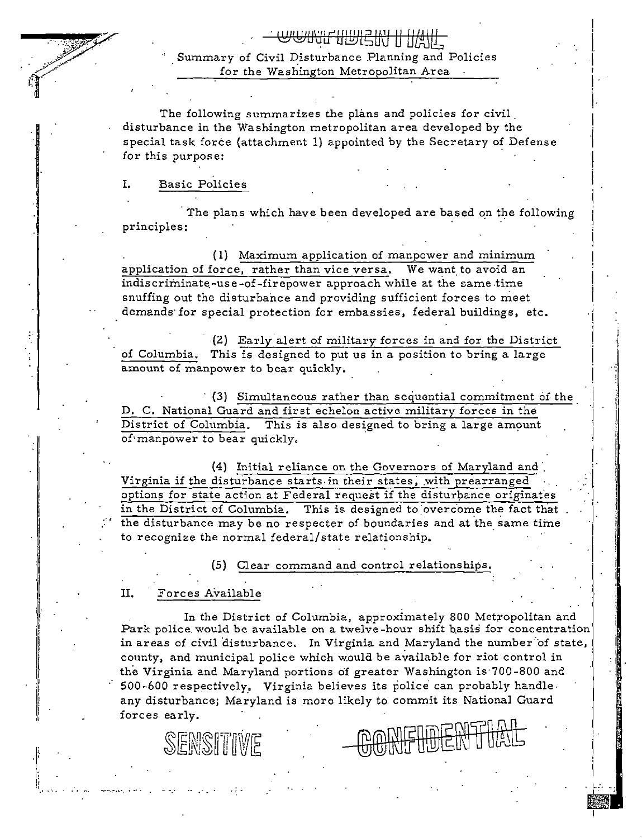. **www.nmEIN II INT** . Summary of Civil Disturbance Planning and Policies for the Washington Metropolitan Area 

I

 $\mathbf{r}$ I I

! .<br>! I·

 $\vert$ 

!

 $\vert \cdot \vert$ 

I· i

The following summarizes the plans and policies for civil<br>disturbance in the Washington metropolitan area developed by the special task force (attachment 1) appointed by the Secretary of Defense for this purpose:

### I. Basic Policies in the contract of the Basic Policies in the contract of the Basic Policies in the contract of the contract of the contract of the contract of the contract of the contract of the contract of the contract

The plans which have been developed are based on the following principles:

( 1) Maximum application of manpower and minimum application of force, rather than vice versa. We want to avoid an indiscriminate-use-of-firepower approach while at the same time snuffing out the disturbance and providing sufficient forces to meet demands for special protection for embassies, federal buildings, etc.

(2) Early alert of military forces in and for the District of Columbia. This is designed to put us in a position to bring a large i amount of manpower to bear quickly.

{3) Simultaneous rather than sequential commitment of. the i D. C. National Guard and first echelon active military forces in the District of Columbia. This is also designed to bring a large amount of·manpower to bear quickly. I

{4) Initial reliance on the Governors of Maryland and·. Virginia if the disturbance starts in their states, with prearranged options for state action at Federal request if the disturbance originates in the District of Columbia. This is designed to overcome the fact that the disturbance may be no respecter of boundaries and at the same time to recognize the normal federal/state relationship.

(5) Clear command and control relationships.

#### II. Forces Available

SENSITIVE

I;

·1,, •·•• -~··-.-·•·.

In the District of Columbia, approximately 800 Metropolitan and Park police would be available on a twelve-hour shift basis for concentration in areas of civil disturbance. In Virginia and Maryland the number of state, county, and municipal police which would be available for riot control in the Virginia and Maryland portions of greater Washington is 700-800 and 500-600 respectively, Virginia believes its police can probably handle. any disturbance; Maryland is more likely to commit its National Guard forces early.

 $\mathcal{I}^{\mathcal{I}}_{\mathcal{I}^{\mathcal{I}}}$  is the set of the set of the set of the set of the set of the set of the set of the set of the set of the set of the set of the set of the set of the set of the set of the set of the set of t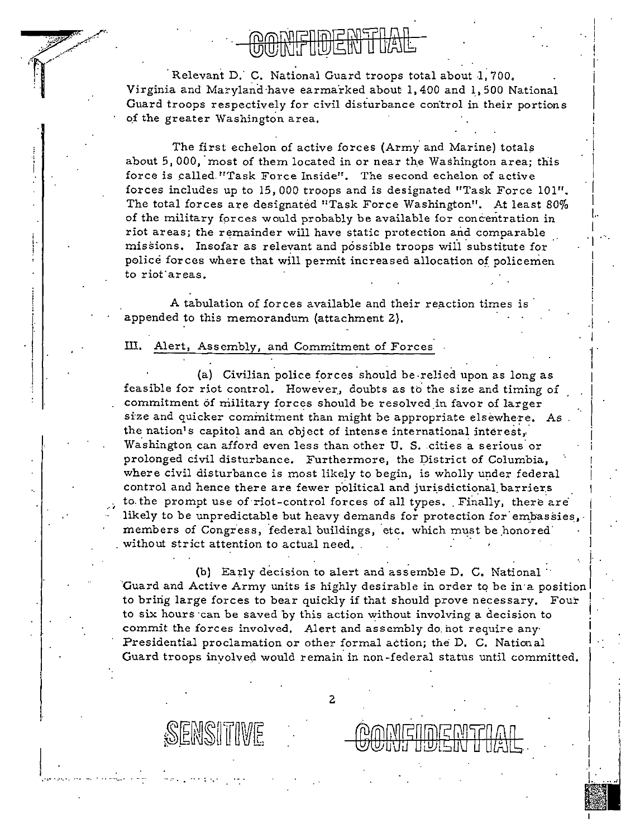## rnmenish*i*

I ! I ' I i

 $\parallel$ 

.  $\left| \cdot \right|$ 

!

I

i

Relevant D.· C. National Guard troops total about 1, 700, Virginia and Maryland have earmarked about 1, 400 and 1, 500 National Guard troops respectively for civil disturbance control in their portions of the greater Washington area,

The first echelon of active forces (Army and Marine) totals about 5,000, most of them located in or near the Washington area; this force is called."Task Force Inside". The second echelon of active forces includes up to 15,000 troops and is designated "Task Force 101". The total forces are designated "Task Force Washington". At least 80% of the military forces would probably be available for concentration in riot areas; the remainder will have static protection and comparable . .<br>missions. Insofar as relevant and possible troops will substitute for police forces where that will permit increased allocation of policement to riot areas.

A tabulation of forces available and their reaction times is appended to this memorandum (attachment 2).

### III. Alert, Assembly, and Commitment of Forces

; L· i

 $\prod\limits_{i=1}^k$ 

 $\ddot{\phantom{0}}$ 

,.,. ·.··.•,

(a) Civilian police forces should be relied upon as long as feasible for riot control. However, doubts as to the size and timing of commitment of military forces should be resolved in favor of larger size and quicker commitment than might be appropriate elsewhere. As the nation's capitol and an object of intense international interest, Washington can afford even less than other U.S. cities a serious or prolonged civil disturbance. Furthermore, the District of Columbia, where civil disturbance is most likely *to* begin, is wholly under federal control and hence there are fewer political and jurisdictional barriers to the prompt use of riot-control forces of all types. Finally, there are likely to be unpredictable but heavy demands for protection for embassies, members of Congress, federal buildings, etc. which must be honored . without strict attention to actual need,

(b) Early decision to alert and assemble D. C. National. Guard and Active Army units is highly desirable in order to be in a position to bring large forces to bear quickly if that should prove necessary. Four to six hours can be saved by this action without involving a decision to commit the forces involved, Alert and assembly do. hot require any· Presidential proclamation or other formal action; the D. C. National Guard troops involved would remain in non-federal status until committed.

ENSITIVE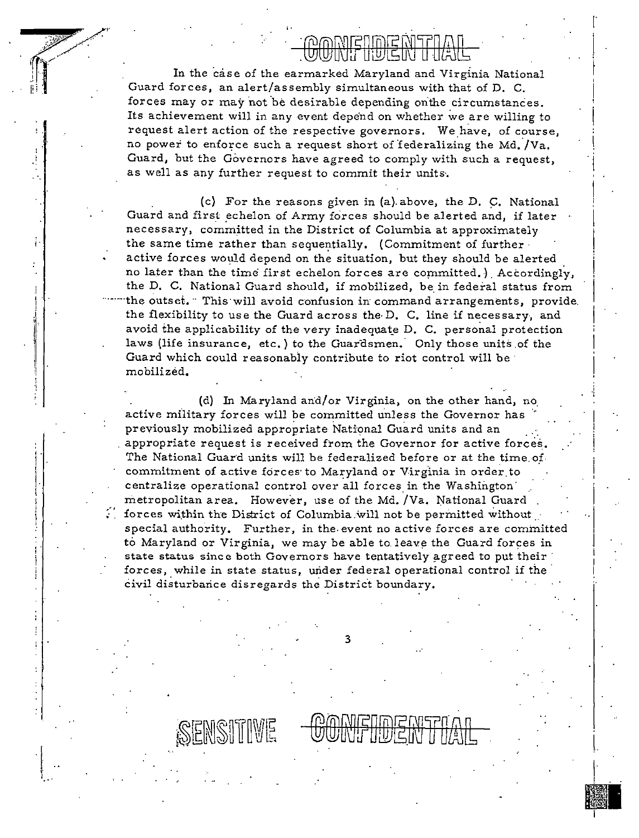### <u>POMETIDIE MET</u>

, . In the contract of the contract of the contract of the contract of the contract of the contract of the contract of the contract of the contract of the contract of the contract of the contract of the contract of the co

 $\Big\}$  .

 $\vert$ 

 $\left| \begin{smallmatrix} \cdot & \cdot \\ \cdot & \cdot \end{smallmatrix} \right|$ 

In the case of the earmarked Maryland and Virginia National Guard forces, an alert/assembly simultaneous with that of D. C. forces may or may not be desirable depending onthe circumstances. Its achievement will in any event depend on whether we are willing to i request alert action of the respective governors. We have, of course, no power to enforce such a request short of federalizing the Md. /Va. Guard, but the Governors have agreed to comply with such a request, as well as any further request to commit their units·.

(c) For the reasons given in (a) above, the D. C. National Guard and first echelon of Army forces should be alerted and, if later necessary, committed in the District of Columbia at approximately the same time rather than sequentially. (Commitment of further active forces would depend on the situation, but they should be alerted no later than the time first echelon forces are committed.) Accordingly, the D. C. National Guard should, if mobilized, be in federal status from the outset. This will avoid confusion in command arrangements, provide. the flexibility to use the Guard across the D. C. line if necessary, and avoid the applicability of the very inadequate D. C. personal protection laws (life insurance, etc.) to the Guardsmen. Only those units of the Guard which could reasonably contribute to riot control will be· mobilized,

!'

I I ! i.

I'I

'.I

 $\parallel$ 

 $\mathbf{I}$ l· I

I

(d) In Maryland arid/or Virginia, on the other hand, no active military forces will be committed unless the Governor has previously mobilized appropriate National Guard units and an appropriate request is received from the Governor for active forces\_. The National Guard units will be federalized before or at the time of. commitment of active forces to Maryland or Virginia in order to ' centralize operational control over all forces in the Washington· metropolitan area. However, use of the Md. /Va. National Guard forces within the District of Columbia.will not be permitted without special authority. Further, in the event no active forces are committed to Maryland or Virginia, we may be able to leave the Guard forces in state status since both Governors have tentatively agreed to put their forces, while in state status, under federal operational control if the civil disturbance disregards the District boundary.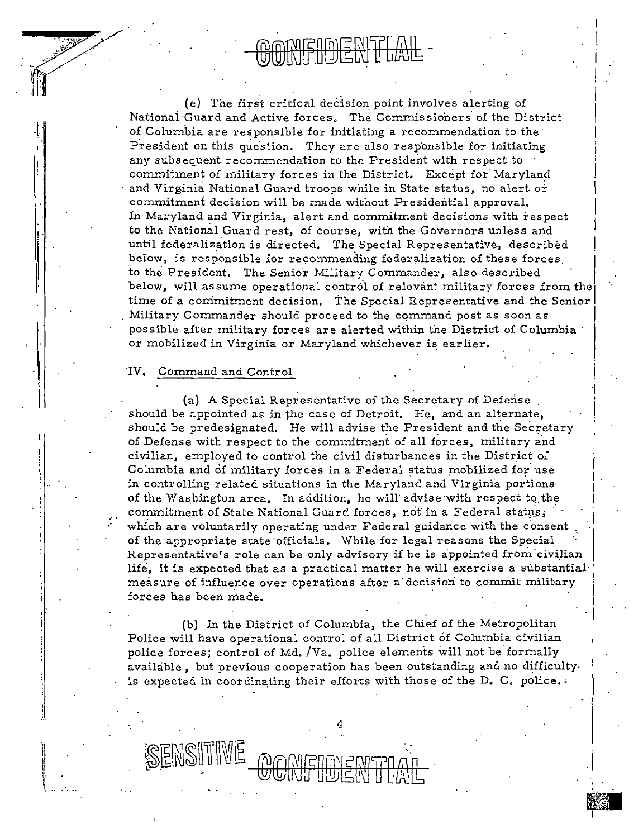(e) The first critical deCision point involves alerting of Natipnai·Guard and Active forces, The Commissioners of the District of Columbia are responsible for initiating a recommendation to the  $\cdot$ President on this question. They are also responsible for initiating any subsequent recommendation to the President with respect to commitment of military forces in the District. Except for Maryland and Virginia National Guard troops while in State status, no alert or commitment decision will be made without Presidential approval. In Maryland and Virginia, alert and commitment decisions with respect to the National Guard rest, of course, with the Governors unless and until federalization is directed. The Special Representative, described· below, is responsible for recommending federalization of these forces. to the President. The Senior Military Commander, also described below, will assume operational control of relevant military forces from the time of a commitment decision. The Special Representative and the Senior Military Commander should proceed to the command post as soon as possible after military forces are alerted within the District of Columbia ·

or mobilized in Virginia or Maryland whichever is earlier.

#### "IV. Command and Control

(a) A Special.Representative of the Secretary of Defense should be appointed as in the case of Detroit. He, and an alternate,· should be predesignated. He will advise the President and the Secretary of Defense with respect to the commitment of all forces, military and civilian, employed to control the civil disturbances in the District of Columbia and of military forces in a Federal status mobilized for use in controlling related situations in the Maryland and Virginia portionsof the Washington area. In addition, he will advise with respect to the commitment of State National Guard forces, not in a Federal status, which are voluntarily operating under Federal guidance with the consent of the appropriate state officials. While for legal reasons the Special Representative's role can be only advisory if he is appointed from civilian life, it is expected that as a practical matter he will exercise a substantial· measure of influence over operations after a decision to commit military forces has been made. .

I  $\vert$  $\vert$ 

.[  $\cdot$ 

i -I

(b) In the District of Columbia, the Chief of the Metropolitan Police will have operational control of all District of Columbia civilian police forces; control of Md. /Va. police elements will not be formally available, but previous cooperation has been outstanding and no difficulty. is expected in coordinating their efforts with those of the D. C. police...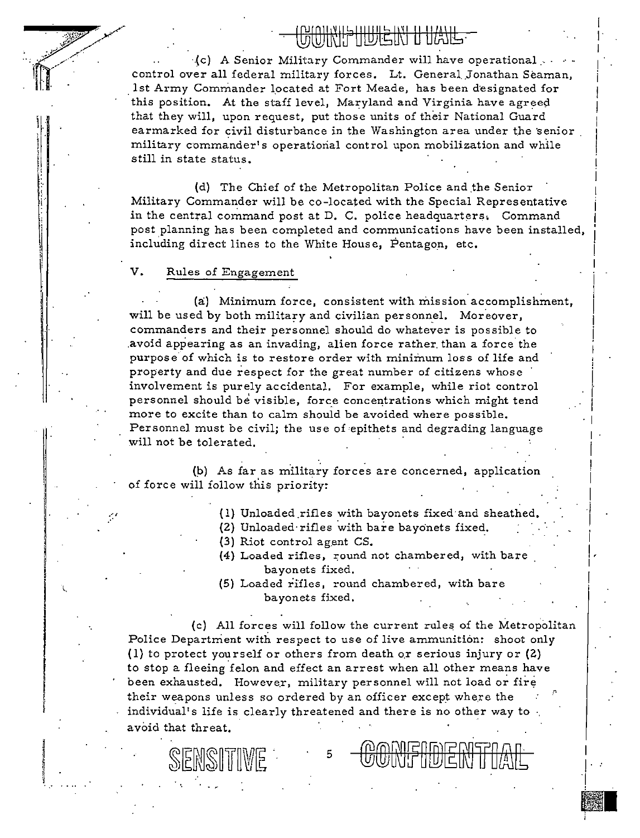I I I I i I I

I

 $\vert$  , I I

I·  $\left| \ \right|$ 

•i

·.(c) A Senior Military Commander will have operational .. control over all federal military forces. Lt. General Jonathan Seaman, 1st Army Commander located at Fort Meade, has been designated for this position. At the *staii* level, Maryland and Virginia have agreed that they will, upon request, put those units of their National Guard earmarked for civil disturbance in the Washington area under the senior military commander's operational control upon mobilization and while still in state status.

(d) The Chief of the Metropolitan Police and the Senior Military Commander will be co-located with the Special Representative i in the central command post at  $D$ . C. police headquarters, Command post planning has been completed and communications have been installed, • including direct lines to the White House, Pentagon, etc.

#### V. Rules of Engagement

SENSITIVE

(a) Minimum force, consistent with mission accomplishment,<br>will be used by both military and civilian personnel. Moreover,<br>commanders and their personnel should do whatever is possible to avoid appearing as an invading, alien force rather than a force the purpose of which is to restore order with minimum loss of life and property and due respect for the great number of citizens whose involvement is purely accidental. For example, while riot control personnel should be visible, force concentrations which might tend more to excite than to calm should be avoided where possible. Personnel must be civil; the use of epithets and degrading language will not be tolerated.

(b) As far as military forces are concerned, application of force will follow this priority:

- (1) Unloaded rifles with bayonets fixed and sheathed.<br>(2) Unloaded rifles with bare bayonets fixed.
- 
- (3) Riot control agent CS.
- (4) Loaded rifles, round not chambered, with bare bayonets fixed.
- (5) Loaded rifles, round chambered, with bare bayonets fixed.

(c) All forces will follow the current rules of the Metropolitan Police Department with respect to use of live ammunition: shoot only (1) to protect yourself or others from death or serious injury or  $(2)$ to stop a fleeing felon and effect an arrest when all other means have been exhausted. However, military personnel will not load or fire their weapons unless so ordered by an officer except where the individual's life is clearly threatened and there is no other way to a void that threat.

5 I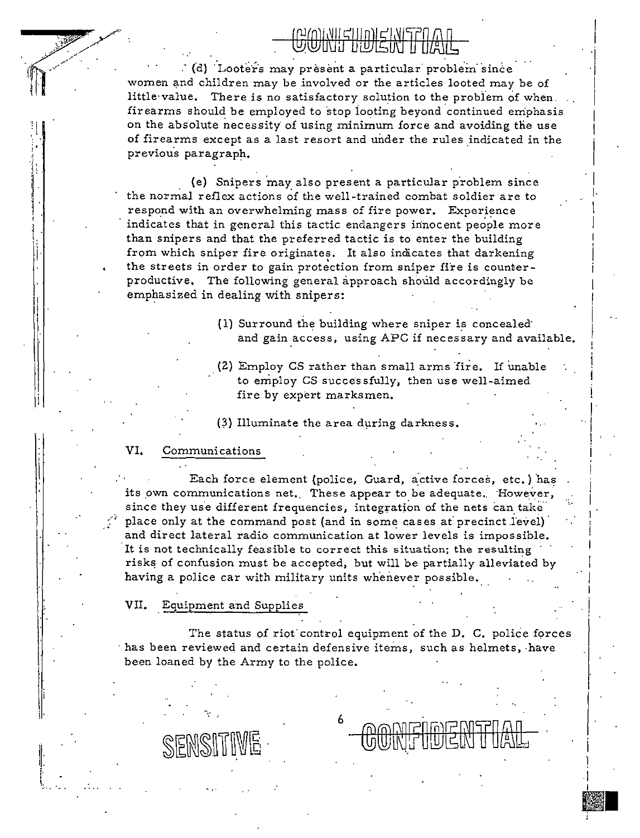$\cdot$  (d) Looters may present a particular problem since women and children may be involved or the articles looted may be of little value. There is no satisfactory solution to the problem of when. firearms should be employed to stop looting beyond continued emphasis on the absolute necessity of using minimum force and avoiding the use of firearms except as a last resort and under the rules indicated in the previous paragraph.

Gwyngilith ikiwa

(e) Snipers may also present a particular problem since the normal reflex actions of the well-trained combat soldier are to respond with an overwhelming mass of fire power. Experience indicates that in general this tactic endangers innocent people more than snipers and that the preferred tactic is to enter the building from which sniper fire originates. It also indicates that darkening the streets in order to gain protection from sniper fire is counterproductive. The following general approach should accordingly be emphasized in dealing with snipers:

- { 1) Surround the building where sniper is concealed· and gain access, using APC if necessary and available.
- $(2)$  Employ CS rather than small arms fire. If unable to employ CS successfully, then use well-aimed fire by expert marksmen.
- {3) Illuminate the area during darkness.

#### VI, Communications

 $\mathbf{r}$ 

,.

II: i \.

Each force element (police, Guard, active forces, etc.) has its own communications net. These appear to be adequate. However, since they use different frequencies, integration of the nets can take place only at the command post (and in some cases at precinct level) and direct lateral radio communication at lower levels is impossible. It is not technically feasible to correct this situation; the resulting risks of confusion must be accepted, but will be partially alleviated by having a police car with military units whenever possible..

VII. Equipment and Supplies

SENSITI

The status of riot control equipment of the D. C. police forces ·has been reviewed and certain defensive items, such as helmets, ·have been loaned by the Army to the police.

6

••

I 1 I I

I I ·t ·I I  $\mathsf{I}$  . I I

 $\vert$ 

I I· I I

I  $\vert$ I i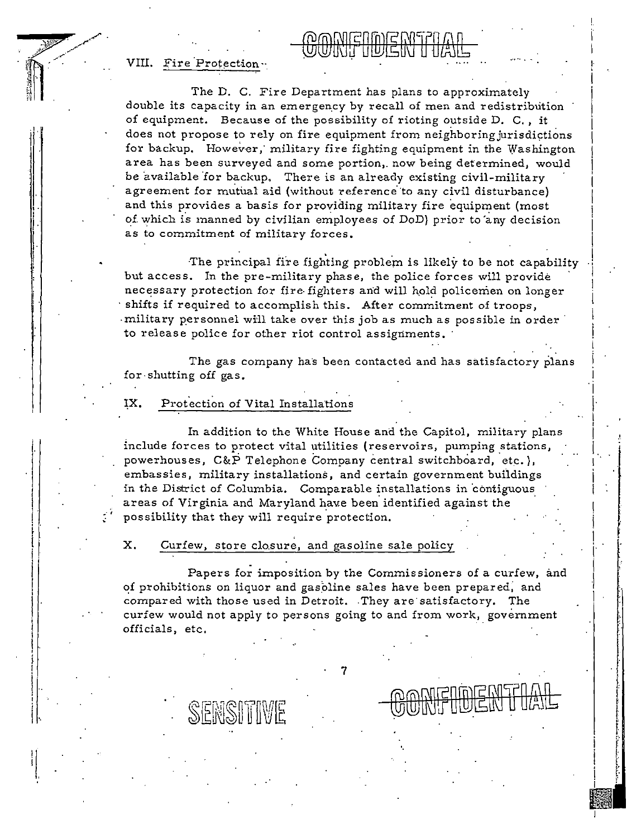VIII. Fire Protection ··

.I 

'.j I·  $\begin{bmatrix} \cdot \\ \cdot \end{bmatrix}$  $\rfloor$ 

I 

 $\mathbf{I}$ i I I i I  $\left\{ \cdot \right\}$ '

' I ' ' I ' 1 I  $||$  . I I i I·.

ij I.

 $\frac{1}{2}$   $\frac{1}{2}$   $\frac{1}{2}$   $\frac{1}{2}$   $\frac{1}{2}$   $\frac{1}{2}$   $\frac{1}{2}$   $\frac{1}{2}$   $\frac{1}{2}$   $\frac{1}{2}$   $\frac{1}{2}$   $\frac{1}{2}$   $\frac{1}{2}$   $\frac{1}{2}$   $\frac{1}{2}$   $\frac{1}{2}$   $\frac{1}{2}$   $\frac{1}{2}$   $\frac{1}{2}$   $\frac{1}{2}$   $\frac{1}{2}$   $\frac{1}{2}$   $\mathbb{R}^n$ 

The D. C. Fire Department has plans to approximately double its capacity in an emergency by recall of men and redistribution of equipment. Because of the possibility of rioting outside D. C. , it does not propose to rely on fire equipment from neighboring jurisdictions for backup. However, military fire fighting equipment in the Washington area has been surveyed and some portion,. now being determined, would be available for backup. There is an already existing civil-military agreement for mutual aid (without reference to any civil disturbance) and this provides a basis for providing military fire equipment (most of which is manned by civilian employees of DoD) prior to any decision as to commitment of military forces.

The principal fire fighting problem is likely to be not capability but access. In the pre-military phase, the police forces will provide necessary protection for fire-fighters and will hold policemen on longer shifts if required to accomplish this. After commitment of troops, military personnel will take over this job as much as possible in order to release police for other riot control assignments.

I

i

I I

The gas company has been contacted and has satisfactory plans for shutting off gas.

#### IX. Protection of Vital Installations

In addition to the White House and the Capitol, military plans include forces to protect vital utilities (reservoirs, pumping stations, powerhouses,  $C\&P$  Telephone Company central switchboard, etc.), embassies, military installations, and certain government buildings in the District of Columbia. Comparable installations in contiguous areas of Virginia and Maryland have been identified against the possibility that they will require protection.

X. Curfew, store closure, and gasoline sale policy

Papers for imposition by the Commissioners of a curfew, and of prohibitions on liquor and gasoline sales have been prepared, and compared with those used in Detroit. They are satisfactory. The curfew would not apply to persons going to and from work, government officials, etc,

7

•.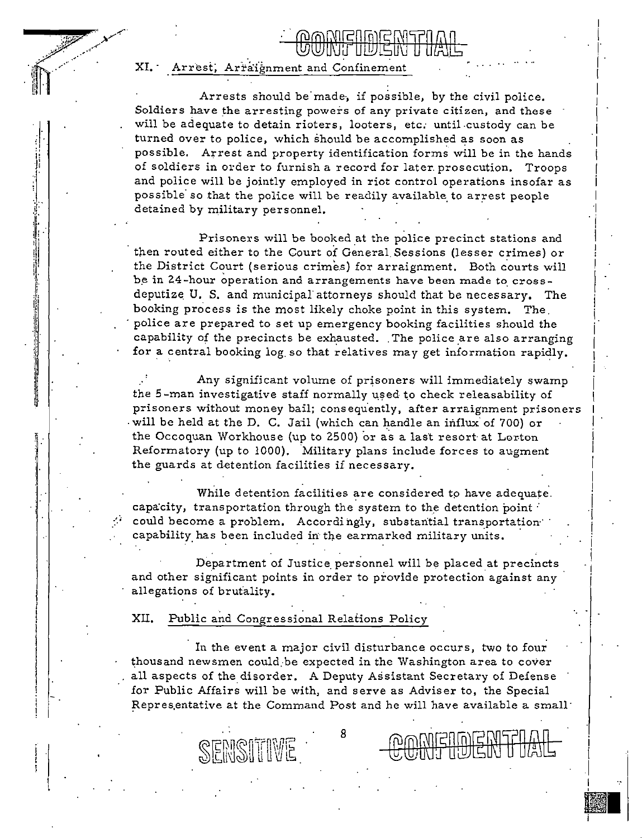XI. Arrest, Arraignment and Confinement

' 1l il

l

Arrests should be made, if possible, by the civil police. Soldiers have the arresting powers of any private citizen, and these will be adequate to detain rioters, looters, etc. until-custody can be turned over to police, which should be accomplished as soon as possible. Arrest and property identification forms will be in the hands of soldiers in order to furnish a record for later. prosecution. Troops and police will be jointly employed in riot control operations insofar as possible so that the police will be readily available to arrest people detained by military personnel.

<u>yushiya wa</u>

I ļ  $\left| \right|$ I I I I I .I I i I i I  $\mathbb{I}^$ i i

I I I I I

I i

! i i . I j

Prisoners will be booked at the police precinct stations and then routed either to the Court of General Sessions (lesser crimes) or the District Court (serious crimes) for arraignment, Both courts will be in 24-hour operation and arrangements have been made to crossdeputize U. S. and municipal attorneys should that be necessary. The booking process is the most likely choke point in this system. The. ·police are prepared to set up emergency booking facilities should the capability of the precincts be exhausted. The police are also arranging for a central booking log. so that relatives may get information rapidly.

prisoners without money bail; consequently, after arraignment prisoners Any significant volume of prisoners will immediately swamp the 5-man investigative staff normally used to check releasability of will be held at the D. C. Jail (which can handle an influx of 700) or the Occoquan Workhouse (up to 2500) or as a last resort at Lorton Reformatory (up to 1000). Military plans include forces to augment the guards at detention facilities if necessary.

While detention facilities are considered to have adequate. capacity, transportation through the system to the detention point  $\cdot$ could become a problem. Accordingly, substantial transportation<sup>-</sup> capability has been included in the earmarked military units.

Department of Justice personnel will be placed at precincts and other significant points in order to provide protection against any allegations of brufality.

XII. Public and Congressional Relations Policy

In the event a major civil disturbance occurs, two to four thousand newsmen could be expected in the Washington area to cover all aspects of the disorder. A Deputy Assistant Secretary of Defense for Public Affairs will be with, and serve as Adviser to, the Special Repres,entative at the Command Post and he will have available a small·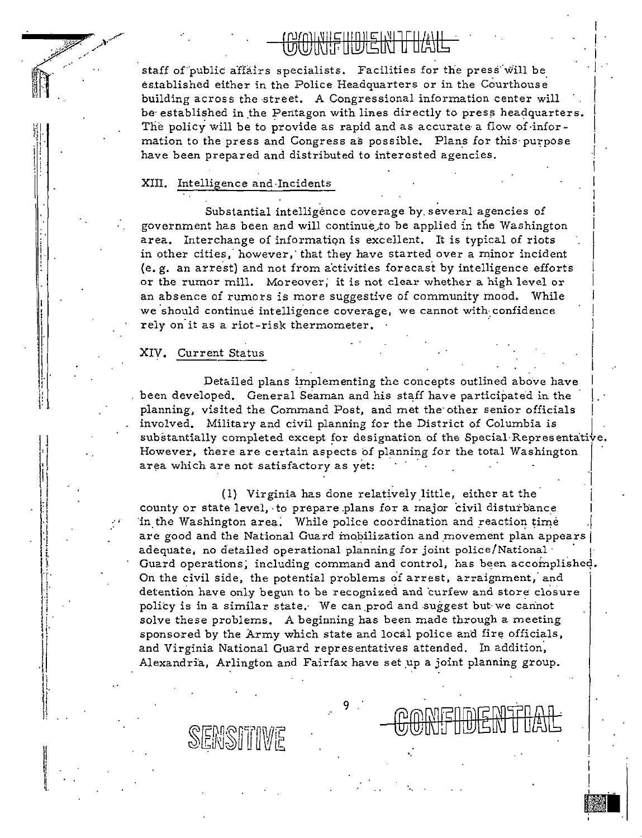### wimichule muc FIHUJIEINI

staff of public affairs specialists. Facilities for the press will be established either in the Police Headquarters or in the Courthouse building across the street. A Congressional information center will be established in the Pentagon with lines directly to press headquarters. The policy will be to provide as rapid and as accurate a flow of information to the press and Congress as possible. Plans for this purpose have been prepared and distributed to interested agencies.

#### XIII. Intelligence and Incidents

Substantial intelligence coverage by several agencies of government has been and will continue to be applied in the Washington area. Interchange of information is excellent. It is typical of riots in other cities, however, that they have started over a minor incident (e.g. an arrest) and not from activities forecast by intelligence efforts or the rumor mill. Moreover, it is not clear whether a high level or an absence of rumors is more suggestive of community mood. While we should continue intelligence coverage, we cannot with confidence rely on it as a riot-risk thermometer.

#### XIV. Current Status

SENSITIME

Detailed plans implementing the concepts outlined above have been developed. General Seaman and his staff have participated in the planning, visited the Command Post, and met the other senior officials involved. Military and civil planning for the District of Columbia is substantially completed except for designation of the Special Representative. However, there are certain aspects of planning for the total Washington area which are not satisfactory as yet:

(1) Virginia has done relatively little, either at the county or state level, to prepare plans for a major civil disturbance in the Washington area. While police coordination and reaction time are good and the National Guard mobilization and movement plan appears adequate, no detailed operational planning for joint police/National Guard operations, including command and control, has been accomplished. On the civil side, the potential problems of arrest, arraignment, and detention have only begun to be recognized and curfew and store closure policy is in a similar state. We can prod and suggest but we cannot solve these problems. A beginning has been made through a meeting sponsored by the Army which state and local police and fire officials, and Virginia National Guard representatives attended. In addition, Alexandria, Arlington and Fairfax have set up a joint planning group.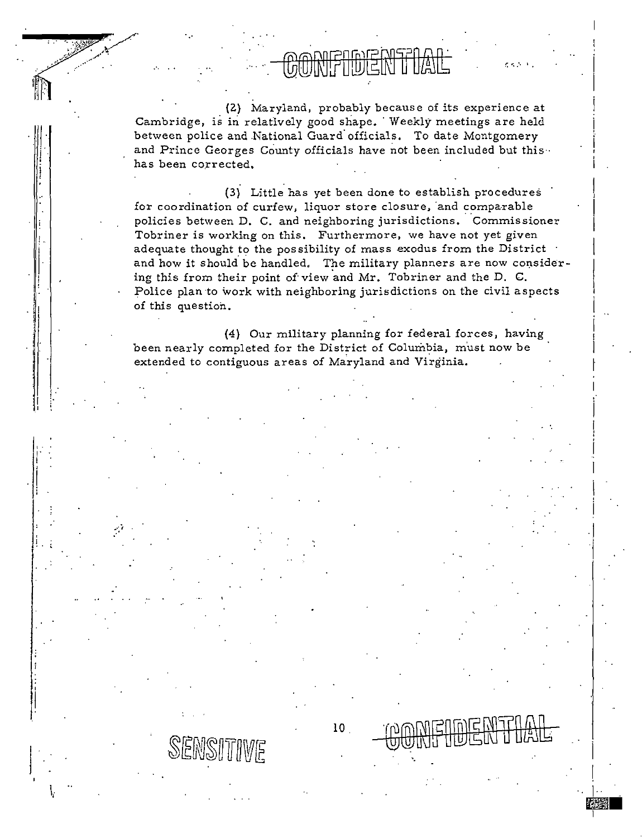(2) Maryland, probably because of its experience at Cambridge, is in relatively good shape. Weekly meetings are held between police and National Guard officials. To date Montgomery and Prince Georges County officials have not been included but this. has been corrected.

(3) Little has yet been done to establish procedures for coordination of curfew, liquor store closure, and comparable policies between D. C. and neighboring jurisdictions. Commissioner Tobriner is working on this. Furthermore, we have not yet given adequate thought to the possibility of mass exodus from the District and how it should be handled. The military planners are now considering this from their point of view and Mr. Tobriner and the D. C. Police plan to work with neighboring jurisdictions on the civil aspects of this question.

(4) Our military planning for federal forces, having been nearly completed for the District of Columbia, must now be extended to contiguous areas of Maryland and Virginia.

 $10<sub>1</sub>$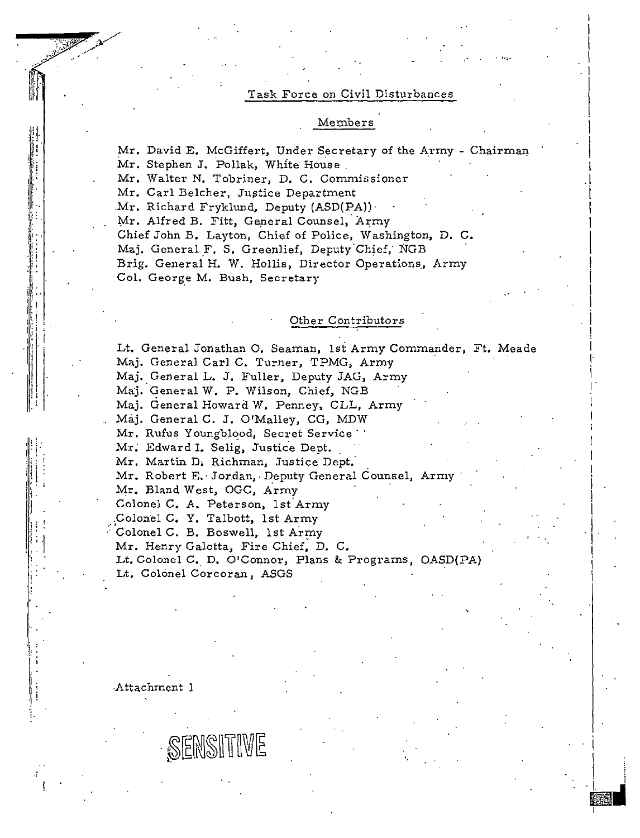#### Task Force on Civil Disturbances

#### Members

Mr. David E. McGiffert, Under Secretary of the Army - Chairman Mr. Stephen J. Pollak, White House

Mr. Walter N. Tobriner, D. C. Commissioner

Mr. Carl Belcher, Justice Department

Mr. Richard Fryklund, Deputy (ASD(PA)).

Mr. Alfred B. Fitt, General Counsel, Army

Chief John B. Layton, Chief of Police, Washington, D. C.

Maj. General F. S. Greenlief, Deputy Chief, NGB

Brig. General H. W. Hollis, Director Operations, Army Col. George M. Bush, Secretary

#### Other Contributors

Lt. General Jonathan O. Seaman, 1st Army Commander, Ft. Meade Maj. General Carl C. Turner, TPMG, Army Maj. General L. J. Fuller, Deputy JAG, Army Maj. General W. P. Wilson, Chief, NGB Maj. General Howard W. Penney, CLL, Army Maj. General C. J. O'Malley, CG, MDW Mr. Rufus Youngblood, Secret Service ... Mr. Edward I. Selig, Justice Dept. Mr. Martin D. Richman, Justice Dept. Mr. Robert E. Jordan, Deputy General Counsel, Army Mr. Bland West, OGC, Army Colonel C. A. Peterson, 1st Army Colonel C. Y. Talbott, 1st Army Colonel C. B. Boswell, 1st Army Mr. Henry Galotta, Fire Chief, D. C. Lt. Colonel C. D. O'Connor, Plans & Programs, OASD(PA) Lt. Colonel Corcoran, ASGS

Attachment 1

SENSITIVE